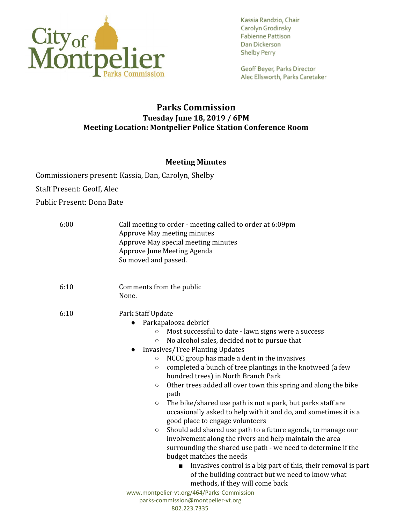

Geoff Beyer, Parks Director Alec Ellsworth, Parks Caretaker

# **Parks Commission Tuesday June 18, 2019 / 6PM Meeting Location: Montpelier Police Station Conference Room**

## **Meeting Minutes**

Commissioners present: Kassia, Dan, Carolyn, Shelby Staff Present: Geoff, Alec Public Present: Dona Bate

| 6:00 | Call meeting to order - meeting called to order at 6:09pm<br>Approve May meeting minutes<br>Approve May special meeting minutes<br>Approve June Meeting Agenda<br>So moved and passed.                                                                                                                                                                                                                                                                                                                                                                                                                                                                                                                                                                                                                                                                                                                                                                                                                                                                                                                                                            |
|------|---------------------------------------------------------------------------------------------------------------------------------------------------------------------------------------------------------------------------------------------------------------------------------------------------------------------------------------------------------------------------------------------------------------------------------------------------------------------------------------------------------------------------------------------------------------------------------------------------------------------------------------------------------------------------------------------------------------------------------------------------------------------------------------------------------------------------------------------------------------------------------------------------------------------------------------------------------------------------------------------------------------------------------------------------------------------------------------------------------------------------------------------------|
| 6:10 | Comments from the public<br>None.                                                                                                                                                                                                                                                                                                                                                                                                                                                                                                                                                                                                                                                                                                                                                                                                                                                                                                                                                                                                                                                                                                                 |
| 6:10 | Park Staff Update<br>Parkapalooza debrief<br>Most successful to date - lawn signs were a success<br>$\circ$<br>No alcohol sales, decided not to pursue that<br>$\circ$<br><b>Invasives/Tree Planting Updates</b><br>NCCC group has made a dent in the invasives<br>$\circ$<br>completed a bunch of tree plantings in the knotweed (a few<br>$\circ$<br>hundred trees) in North Branch Park<br>Other trees added all over town this spring and along the bike<br>$\circ$<br>path<br>The bike/shared use path is not a park, but parks staff are<br>$\circ$<br>occasionally asked to help with it and do, and sometimes it is a<br>good place to engage volunteers<br>Should add shared use path to a future agenda, to manage our<br>$\circ$<br>involvement along the rivers and help maintain the area<br>surrounding the shared use path - we need to determine if the<br>budget matches the needs<br>Invasives control is a big part of this, their removal is part<br>of the building contract but we need to know what<br>methods, if they will come back<br>www.montpelier-vt.org/464/Parks-Commission<br>parks-commission@montpelier-vt.org |
|      | 802.223.7335                                                                                                                                                                                                                                                                                                                                                                                                                                                                                                                                                                                                                                                                                                                                                                                                                                                                                                                                                                                                                                                                                                                                      |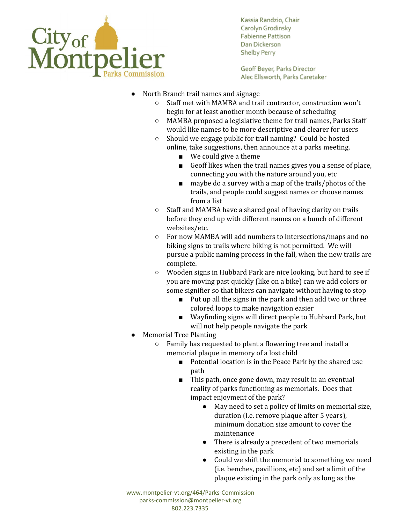

Geoff Beyer, Parks Director Alec Ellsworth, Parks Caretaker

- North Branch trail names and signage
	- Staff met with MAMBA and trail contractor, construction won't begin for at least another month because of scheduling
	- MAMBA proposed a legislative theme for trail names, Parks Staff would like names to be more descriptive and clearer for users
	- Should we engage public for trail naming? Could be hosted online, take suggestions, then announce at a parks meeting.
		- We could give a theme
		- Geoff likes when the trail names gives you a sense of place, connecting you with the nature around you, etc
		- maybe do a survey with a map of the trails/photos of the trails, and people could suggest names or choose names from a list
	- Staff and MAMBA have a shared goal of having clarity on trails before they end up with different names on a bunch of different websites/etc.
	- For now MAMBA will add numbers to intersections/maps and no biking signs to trails where biking is not permitted. We will pursue a public naming process in the fall, when the new trails are complete.
	- Wooden signs in Hubbard Park are nice looking, but hard to see if you are moving past quickly (like on a bike) can we add colors or some signifier so that bikers can navigate without having to stop
		- Put up all the signs in the park and then add two or three colored loops to make navigation easier
		- Wayfinding signs will direct people to Hubbard Park, but will not help people navigate the park
- **Memorial Tree Planting** 
	- Family has requested to plant a flowering tree and install a memorial plaque in memory of a lost child
		- Potential location is in the Peace Park by the shared use path
		- This path, once gone down, may result in an eventual reality of parks functioning as memorials. Does that impact enjoyment of the park?
			- May need to set a policy of limits on memorial size, duration (i.e. remove plaque after 5 years), minimum donation size amount to cover the maintenance
			- There is already a precedent of two memorials existing in the park
			- Could we shift the memorial to something we need (i.e. benches, pavillions, etc) and set a limit of the plaque existing in the park only as long as the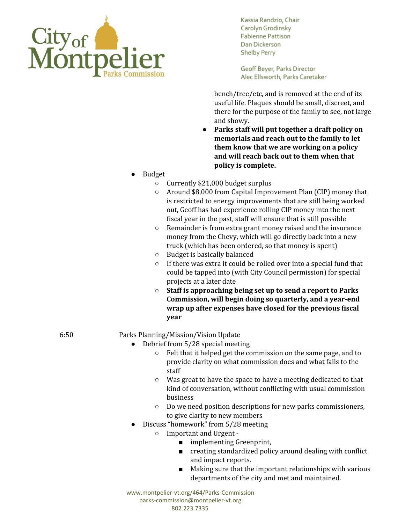

Geoff Beyer, Parks Director Alec Ellsworth, Parks Caretaker

bench/tree/etc, and is removed at the end of its useful life. Plaques should be small, discreet, and there for the purpose of the family to see, not large and showy.

- **● Parks staff will put together a draft policy on memorials and reach out to the family to let them know that we are working on a policy and will reach back out to them when that policy is complete.**
- **Budget** 
	- Currently \$21,000 budget surplus
	- Around \$8,000 from Capital Improvement Plan (CIP) money that is restricted to energy improvements that are still being worked out, Geoff has had experience rolling CIP money into the next fiscal year in the past, staff will ensure that is still possible
	- Remainder is from extra grant money raised and the insurance money from the Chevy, which will go directly back into a new truck (which has been ordered, so that money is spent)
	- Budget is basically balanced
	- If there was extra it could be rolled over into a special fund that could be tapped into (with City Council permission) for special projects at a later date
	- **○ Staff is approaching being set up to send a report to Parks Commission, will begin doing so quarterly, and a year-end wrap up after expenses have closed for the previous fiscal year**

## 6:50 Parks Planning/Mission/Vision Update

- Debrief from 5/28 special meeting
	- Felt that it helped get the commission on the same page, and to provide clarity on what commission does and what falls to the staff
	- Was great to have the space to have a meeting dedicated to that kind of conversation, without conflicting with usual commission business
	- Do we need position descriptions for new parks commissioners, to give clarity to new members
	- Discuss "homework" from 5/28 meeting
		- Important and Urgent
			- implementing Greenprint,
			- creating standardized policy around dealing with conflict and impact reports.
			- Making sure that the important relationships with various departments of the city and met and maintained.

www.montpelier-vt.org/464/Parks-Commission parks-commission@montpelier-vt.org 802.223.7335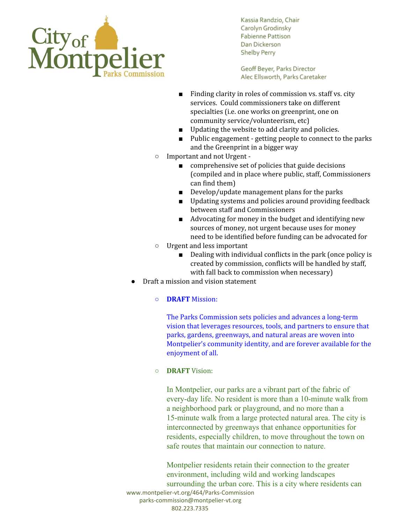

Geoff Beyer, Parks Director Alec Ellsworth, Parks Caretaker

- Finding clarity in roles of commission vs. staff vs. city services. Could commissioners take on different specialties (i.e. one works on greenprint, one on community service/volunteerism, etc)
- Updating the website to add clarity and policies.
- Public engagement getting people to connect to the parks and the Greenprint in a bigger way
- Important and not Urgent
	- comprehensive set of policies that guide decisions (compiled and in place where public, staff, Commissioners can find them)
	- Develop/update management plans for the parks
	- Updating systems and policies around providing feedback between staff and Commissioners
	- Advocating for money in the budget and identifying new sources of money, not urgent because uses for money need to be identified before funding can be advocated for
- Urgent and less important
	- Dealing with individual conflicts in the park (once policy is created by commission, conflicts will be handled by staff, with fall back to commission when necessary)
- Draft a mission and vision statement

#### ○ **DRAFT** Mission:

The Parks Commission sets policies and advances a long-term vision that leverages resources, tools, and partners to ensure that parks, gardens, greenways, and natural areas are woven into Montpelier's community identity, and are forever available for the enjoyment of all.

### ○ **DRAFT** Vision:

In Montpelier, our parks are a vibrant part of the fabric of every-day life. No resident is more than a 10-minute walk from a neighborhood park or playground, and no more than a 15-minute walk from a large protected natural area. The city is interconnected by greenways that enhance opportunities for residents, especially children, to move throughout the town on safe routes that maintain our connection to nature.

Montpelier residents retain their connection to the greater environment, including wild and working landscapes surrounding the urban core. This is a city where residents can www.montpelier-vt.org/464/Parks-Commission parks-commission@montpelier-vt.org 802.223.7335